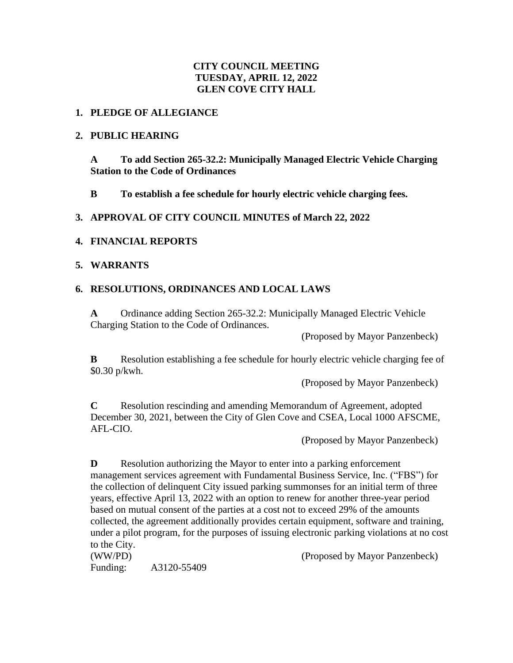## **CITY COUNCIL MEETING TUESDAY, APRIL 12, 2022 GLEN COVE CITY HALL**

#### **1. PLEDGE OF ALLEGIANCE**

#### **2. PUBLIC HEARING**

**A To add Section 265-32.2: Municipally Managed Electric Vehicle Charging Station to the Code of Ordinances**

**B To establish a fee schedule for hourly electric vehicle charging fees.**

**3. APPROVAL OF CITY COUNCIL MINUTES of March 22, 2022**

## **4. FINANCIAL REPORTS**

#### **5. WARRANTS**

## **6. RESOLUTIONS, ORDINANCES AND LOCAL LAWS**

**A** Ordinance adding Section 265-32.2: Municipally Managed Electric Vehicle Charging Station to the Code of Ordinances.

(Proposed by Mayor Panzenbeck)

**B** Resolution establishing a fee schedule for hourly electric vehicle charging fee of \$0.30 p/kwh.

(Proposed by Mayor Panzenbeck)

**C** Resolution rescinding and amending Memorandum of Agreement, adopted December 30, 2021, between the City of Glen Cove and CSEA, Local 1000 AFSCME, AFL-CIO.

(Proposed by Mayor Panzenbeck)

**D** Resolution authorizing the Mayor to enter into a parking enforcement management services agreement with Fundamental Business Service, Inc. ("FBS") for the collection of delinquent City issued parking summonses for an initial term of three years, effective April 13, 2022 with an option to renew for another three-year period based on mutual consent of the parties at a cost not to exceed 29% of the amounts collected, the agreement additionally provides certain equipment, software and training, under a pilot program, for the purposes of issuing electronic parking violations at no cost to the City.

Funding: A3120-55409

(WW/PD) (Proposed by Mayor Panzenbeck)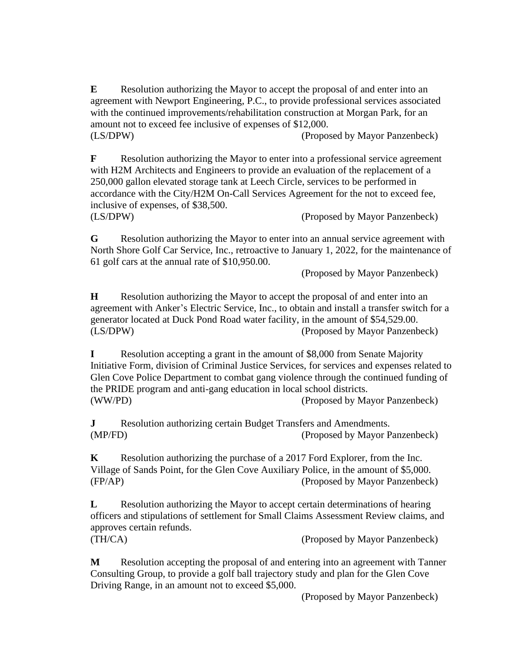**E** Resolution authorizing the Mayor to accept the proposal of and enter into an agreement with Newport Engineering, P.C., to provide professional services associated with the continued improvements/rehabilitation construction at Morgan Park, for an amount not to exceed fee inclusive of expenses of \$12,000. (LS/DPW) (Proposed by Mayor Panzenbeck)

**F** Resolution authorizing the Mayor to enter into a professional service agreement with H2M Architects and Engineers to provide an evaluation of the replacement of a 250,000 gallon elevated storage tank at Leech Circle, services to be performed in accordance with the City/H2M On-Call Services Agreement for the not to exceed fee, inclusive of expenses, of \$38,500. (LS/DPW) (Proposed by Mayor Panzenbeck)

**G** Resolution authorizing the Mayor to enter into an annual service agreement with North Shore Golf Car Service, Inc., retroactive to January 1, 2022, for the maintenance of 61 golf cars at the annual rate of \$10,950.00.

(Proposed by Mayor Panzenbeck)

**H** Resolution authorizing the Mayor to accept the proposal of and enter into an agreement with Anker's Electric Service, Inc., to obtain and install a transfer switch for a generator located at Duck Pond Road water facility, in the amount of \$54,529.00. (LS/DPW) (Proposed by Mayor Panzenbeck)

**I** Resolution accepting a grant in the amount of \$8,000 from Senate Majority Initiative Form, division of Criminal Justice Services, for services and expenses related to Glen Cove Police Department to combat gang violence through the continued funding of the PRIDE program and anti-gang education in local school districts. (WW/PD) (Proposed by Mayor Panzenbeck)

**J** Resolution authorizing certain Budget Transfers and Amendments. (MP/FD) (Proposed by Mayor Panzenbeck)

**K** Resolution authorizing the purchase of a 2017 Ford Explorer, from the Inc. Village of Sands Point, for the Glen Cove Auxiliary Police, in the amount of \$5,000. (FP/AP) (Proposed by Mayor Panzenbeck)

**L** Resolution authorizing the Mayor to accept certain determinations of hearing officers and stipulations of settlement for Small Claims Assessment Review claims, and approves certain refunds.

(TH/CA) (Proposed by Mayor Panzenbeck)

**M** Resolution accepting the proposal of and entering into an agreement with Tanner Consulting Group, to provide a golf ball trajectory study and plan for the Glen Cove Driving Range, in an amount not to exceed \$5,000.

(Proposed by Mayor Panzenbeck)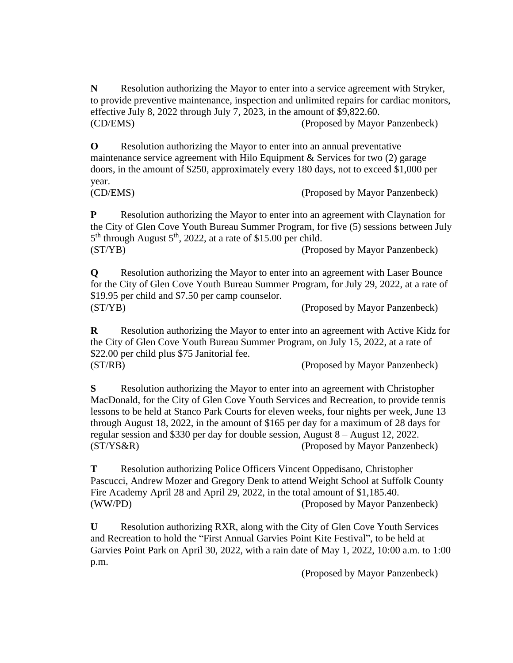**N** Resolution authorizing the Mayor to enter into a service agreement with Stryker, to provide preventive maintenance, inspection and unlimited repairs for cardiac monitors, effective July 8, 2022 through July 7, 2023, in the amount of \$9,822.60. (CD/EMS) (Proposed by Mayor Panzenbeck)

**O** Resolution authorizing the Mayor to enter into an annual preventative maintenance service agreement with Hilo Equipment & Services for two (2) garage doors, in the amount of \$250, approximately every 180 days, not to exceed \$1,000 per year.

(CD/EMS) (Proposed by Mayor Panzenbeck)

**P** Resolution authorizing the Mayor to enter into an agreement with Claynation for the City of Glen Cove Youth Bureau Summer Program, for five (5) sessions between July 5<sup>th</sup> through August 5<sup>th</sup>, 2022, at a rate of \$15.00 per child. (ST/YB) (Proposed by Mayor Panzenbeck)

**Q** Resolution authorizing the Mayor to enter into an agreement with Laser Bounce for the City of Glen Cove Youth Bureau Summer Program, for July 29, 2022, at a rate of \$19.95 per child and \$7.50 per camp counselor. (ST/YB) (Proposed by Mayor Panzenbeck)

**R** Resolution authorizing the Mayor to enter into an agreement with Active Kidz for the City of Glen Cove Youth Bureau Summer Program, on July 15, 2022, at a rate of \$22.00 per child plus \$75 Janitorial fee. (ST/RB) (Proposed by Mayor Panzenbeck)

**S** Resolution authorizing the Mayor to enter into an agreement with Christopher MacDonald, for the City of Glen Cove Youth Services and Recreation, to provide tennis lessons to be held at Stanco Park Courts for eleven weeks, four nights per week, June 13 through August 18, 2022, in the amount of \$165 per day for a maximum of 28 days for regular session and \$330 per day for double session, August 8 – August 12, 2022. (ST/YS&R) (Proposed by Mayor Panzenbeck)

**T** Resolution authorizing Police Officers Vincent Oppedisano, Christopher Pascucci, Andrew Mozer and Gregory Denk to attend Weight School at Suffolk County Fire Academy April 28 and April 29, 2022, in the total amount of \$1,185.40. (WW/PD) (Proposed by Mayor Panzenbeck)

**U** Resolution authorizing RXR, along with the City of Glen Cove Youth Services and Recreation to hold the "First Annual Garvies Point Kite Festival", to be held at Garvies Point Park on April 30, 2022, with a rain date of May 1, 2022, 10:00 a.m. to 1:00 p.m.

(Proposed by Mayor Panzenbeck)